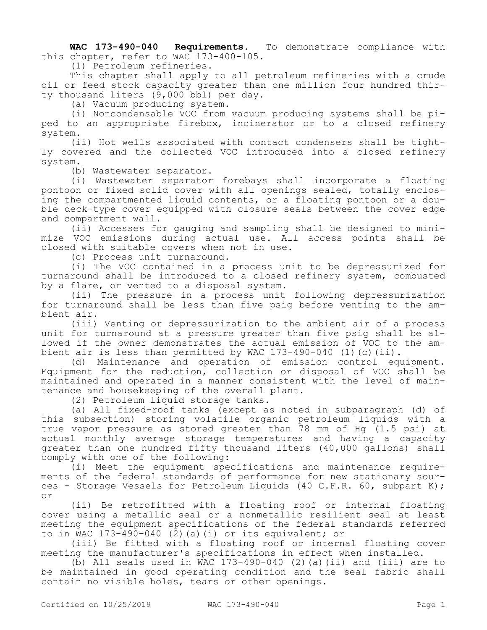**WAC 173-490-040 Requirements.** To demonstrate compliance with this chapter, refer to WAC 173-400-105.

(1) Petroleum refineries.

This chapter shall apply to all petroleum refineries with a crude oil or feed stock capacity greater than one million four hundred thirty thousand liters (9,000 bbl) per day.

(a) Vacuum producing system.

(i) Noncondensable VOC from vacuum producing systems shall be piped to an appropriate firebox, incinerator or to a closed refinery system.

(ii) Hot wells associated with contact condensers shall be tightly covered and the collected VOC introduced into a closed refinery system.

(b) Wastewater separator.

(i) Wastewater separator forebays shall incorporate a floating pontoon or fixed solid cover with all openings sealed, totally enclosing the compartmented liquid contents, or a floating pontoon or a double deck-type cover equipped with closure seals between the cover edge and compartment wall.

(ii) Accesses for gauging and sampling shall be designed to minimize VOC emissions during actual use. All access points shall be closed with suitable covers when not in use.

(c) Process unit turnaround.

(i) The VOC contained in a process unit to be depressurized for turnaround shall be introduced to a closed refinery system, combusted by a flare, or vented to a disposal system.

(ii) The pressure in a process unit following depressurization for turnaround shall be less than five psig before venting to the ambient air.

(iii) Venting or depressurization to the ambient air of a process unit for turnaround at a pressure greater than five psig shall be allowed if the owner demonstrates the actual emission of VOC to the ambient air is less than permitted by WAC 173-490-040 (1) (c) (ii).<br>(d) Maintenance and operation of emission control equ

Maintenance and operation of emission control equipment. Equipment for the reduction, collection or disposal of VOC shall be maintained and operated in a manner consistent with the level of maintenance and housekeeping of the overall plant.

(2) Petroleum liquid storage tanks.

(a) All fixed-roof tanks (except as noted in subparagraph (d) of this subsection) storing volatile organic petroleum liquids with a true vapor pressure as stored greater than 78 mm of Hg (1.5 psi) at actual monthly average storage temperatures and having a capacity greater than one hundred fifty thousand liters (40,000 gallons) shall comply with one of the following:

(i) Meet the equipment specifications and maintenance requirements of the federal standards of performance for new stationary sources - Storage Vessels for Petroleum Liquids (40 C.F.R. 60, subpart K); or

(ii) Be retrofitted with a floating roof or internal floating cover using a metallic seal or a nonmetallic resilient seal at least meeting the equipment specifications of the federal standards referred to in WAC 173-490-040 (2)(a)(i) or its equivalent; or

(iii) Be fitted with a floating roof or internal floating cover meeting the manufacturer's specifications in effect when installed.

(b) All seals used in WAC 173-490-040 (2) (a)(ii) and (iii) are to be maintained in good operating condition and the seal fabric shall contain no visible holes, tears or other openings.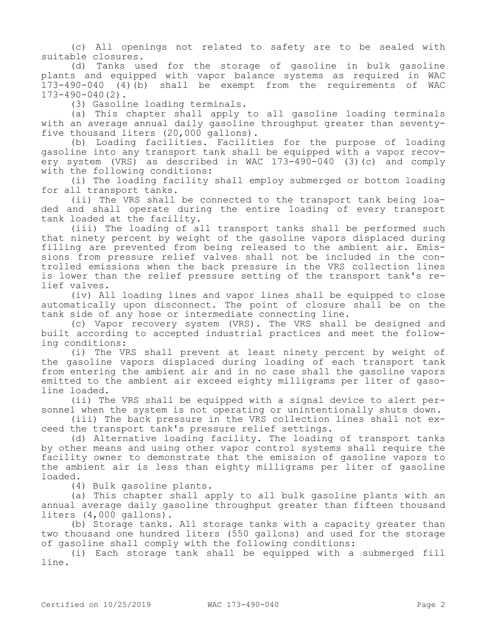(c) All openings not related to safety are to be sealed with suitable closures.

(d) Tanks used for the storage of gasoline in bulk gasoline plants and equipped with vapor balance systems as required in WAC 173-490-040 (4)(b) shall be exempt from the requirements of WAC 173-490-040(2).

(3) Gasoline loading terminals.

(a) This chapter shall apply to all gasoline loading terminals with an average annual daily gasoline throughput greater than seventyfive thousand liters (20,000 gallons).

(b) Loading facilities. Facilities for the purpose of loading gasoline into any transport tank shall be equipped with a vapor recovery system (VRS) as described in WAC 173-490-040 (3)(c) and comply with the following conditions:

(i) The loading facility shall employ submerged or bottom loading for all transport tanks.

(ii) The VRS shall be connected to the transport tank being loaded and shall operate during the entire loading of every transport tank loaded at the facility.

(iii) The loading of all transport tanks shall be performed such that ninety percent by weight of the gasoline vapors displaced during filling are prevented from being released to the ambient air. Emissions from pressure relief valves shall not be included in the controlled emissions when the back pressure in the VRS collection lines is lower than the relief pressure setting of the transport tank's relief valves.

(iv) All loading lines and vapor lines shall be equipped to close automatically upon disconnect. The point of closure shall be on the tank side of any hose or intermediate connecting line.

(c) Vapor recovery system (VRS). The VRS shall be designed and built according to accepted industrial practices and meet the following conditions:

(i) The VRS shall prevent at least ninety percent by weight of the gasoline vapors displaced during loading of each transport tank from entering the ambient air and in no case shall the gasoline vapors emitted to the ambient air exceed eighty milligrams per liter of gasoline loaded.

(ii) The VRS shall be equipped with a signal device to alert personnel when the system is not operating or unintentionally shuts down.

(iii) The back pressure in the VRS collection lines shall not exceed the transport tank's pressure relief settings.

(d) Alternative loading facility. The loading of transport tanks by other means and using other vapor control systems shall require the facility owner to demonstrate that the emission of gasoline vapors to the ambient air is less than eighty milligrams per liter of gasoline loaded.

(4) Bulk gasoline plants.

(a) This chapter shall apply to all bulk gasoline plants with an annual average daily gasoline throughput greater than fifteen thousand liters (4,000 gallons).

(b) Storage tanks. All storage tanks with a capacity greater than two thousand one hundred liters (550 gallons) and used for the storage of gasoline shall comply with the following conditions:

(i) Each storage tank shall be equipped with a submerged fill line.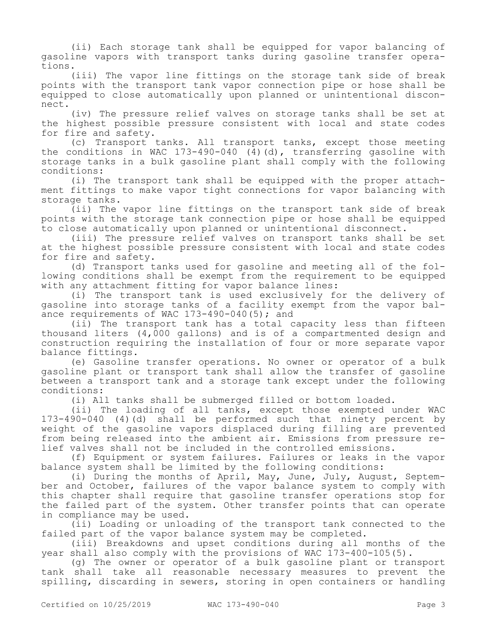(ii) Each storage tank shall be equipped for vapor balancing of gasoline vapors with transport tanks during gasoline transfer operations.

(iii) The vapor line fittings on the storage tank side of break points with the transport tank vapor connection pipe or hose shall be equipped to close automatically upon planned or unintentional disconnect.

(iv) The pressure relief valves on storage tanks shall be set at the highest possible pressure consistent with local and state codes for fire and safety.

(c) Transport tanks. All transport tanks, except those meeting the conditions in WAC 173-490-040 (4)(d), transferring gasoline with storage tanks in a bulk gasoline plant shall comply with the following conditions:

(i) The transport tank shall be equipped with the proper attachment fittings to make vapor tight connections for vapor balancing with storage tanks.

(ii) The vapor line fittings on the transport tank side of break points with the storage tank connection pipe or hose shall be equipped to close automatically upon planned or unintentional disconnect.

(iii) The pressure relief valves on transport tanks shall be set at the highest possible pressure consistent with local and state codes for fire and safety.

(d) Transport tanks used for gasoline and meeting all of the following conditions shall be exempt from the requirement to be equipped with any attachment fitting for vapor balance lines:

(i) The transport tank is used exclusively for the delivery of gasoline into storage tanks of a facility exempt from the vapor balance requirements of WAC 173-490-040(5); and

(ii) The transport tank has a total capacity less than fifteen thousand liters (4,000 gallons) and is of a compartmented design and construction requiring the installation of four or more separate vapor balance fittings.

(e) Gasoline transfer operations. No owner or operator of a bulk gasoline plant or transport tank shall allow the transfer of gasoline between a transport tank and a storage tank except under the following conditions:

(i) All tanks shall be submerged filled or bottom loaded.

(ii) The loading of all tanks, except those exempted under WAC 173-490-040 (4)(d) shall be performed such that ninety percent by weight of the gasoline vapors displaced during filling are prevented from being released into the ambient air. Emissions from pressure relief valves shall not be included in the controlled emissions.

(f) Equipment or system failures. Failures or leaks in the vapor balance system shall be limited by the following conditions:

(i) During the months of April, May, June, July, August, September and October, failures of the vapor balance system to comply with this chapter shall require that gasoline transfer operations stop for the failed part of the system. Other transfer points that can operate in compliance may be used.

(ii) Loading or unloading of the transport tank connected to the failed part of the vapor balance system may be completed.

(iii) Breakdowns and upset conditions during all months of the year shall also comply with the provisions of WAC 173-400-105(5).

(g) The owner or operator of a bulk gasoline plant or transport tank shall take all reasonable necessary measures to prevent the spilling, discarding in sewers, storing in open containers or handling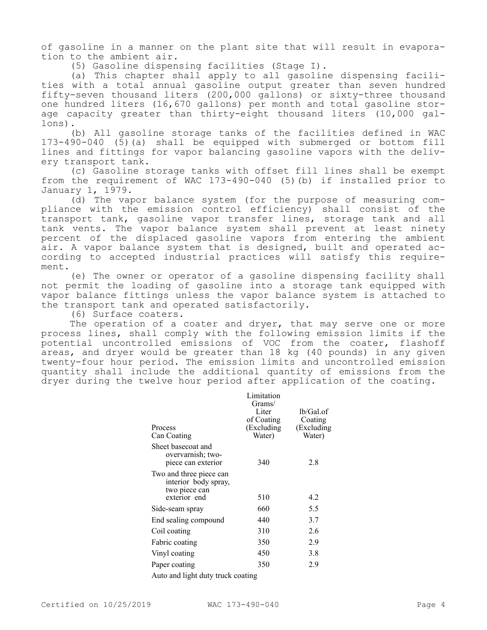of gasoline in a manner on the plant site that will result in evaporation to the ambient air.

(5) Gasoline dispensing facilities (Stage I).

(a) This chapter shall apply to all gasoline dispensing facilities with a total annual gasoline output greater than seven hundred fifty-seven thousand liters (200,000 gallons) or sixty-three thousand one hundred liters (16,670 gallons) per month and total gasoline storage capacity greater than thirty-eight thousand liters (10,000 gallons).

(b) All gasoline storage tanks of the facilities defined in WAC 173-490-040 (5)(a) shall be equipped with submerged or bottom fill lines and fittings for vapor balancing gasoline vapors with the delivery transport tank.

(c) Gasoline storage tanks with offset fill lines shall be exempt from the requirement of WAC 173-490-040 (5)(b) if installed prior to January 1, 1979.

(d) The vapor balance system (for the purpose of measuring compliance with the emission control efficiency) shall consist of the transport tank, gasoline vapor transfer lines, storage tank and all tank vents. The vapor balance system shall prevent at least ninety percent of the displaced gasoline vapors from entering the ambient air. A vapor balance system that is designed, built and operated according to accepted industrial practices will satisfy this requirement.

(e) The owner or operator of a gasoline dispensing facility shall not permit the loading of gasoline into a storage tank equipped with vapor balance fittings unless the vapor balance system is attached to the transport tank and operated satisfactorily.

(6) Surface coaters.

The operation of a coater and dryer, that may serve one or more process lines, shall comply with the following emission limits if the potential uncontrolled emissions of VOC from the coater, flashoff areas, and dryer would be greater than 18 kg (40 pounds) in any given twenty-four hour period. The emission limits and uncontrolled emission quantity shall include the additional quantity of emissions from the dryer during the twelve hour period after application of the coating.

|                                                                  | Limitation<br>Grams/ |                      |
|------------------------------------------------------------------|----------------------|----------------------|
|                                                                  | Liter<br>of Coating  | lb/Gal.of<br>Coating |
| Process                                                          | (Excluding)          | (Excluding           |
| Can Coating                                                      | Water)               | Water)               |
| Sheet basecoat and<br>overvarnish; two-<br>piece can exterior    | 340                  | 2.8                  |
| Two and three piece can<br>interior body spray,<br>two piece can |                      |                      |
| exterior end                                                     | 510                  | 4.2                  |
| Side-seam spray                                                  | 660                  | 5.5                  |
| End sealing compound                                             | 440                  | 3.7                  |
| Coil coating                                                     | 310                  | 2.6                  |
| Fabric coating                                                   | 350                  | 2.9                  |
| Vinyl coating                                                    | 450                  | 3.8                  |
| Paper coating                                                    | 350                  | 2.9                  |
| Auto and light duty truck coating                                |                      |                      |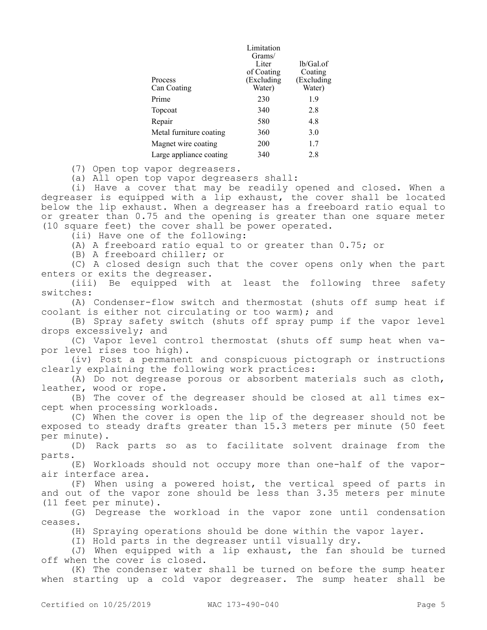|                         | Limitation |              |
|-------------------------|------------|--------------|
|                         | Grams/     |              |
|                         | Liter      | $lb/Gal.$ of |
|                         | of Coating | Coating      |
| Process                 | (Excluding | (Excluding   |
| Can Coating             | Water)     | Water)       |
| Prime                   | 230        | 1.9          |
| Topcoat                 | 340        | 2.8          |
| Repair                  | 580        | 4.8          |
| Metal furniture coating | 360        | 3.0          |
| Magnet wire coating     | 200        | 1.7          |
| Large appliance coating | 340        | 2.8          |

(7) Open top vapor degreasers.

(a) All open top vapor degreasers shall:

(i) Have a cover that may be readily opened and closed. When a degreaser is equipped with a lip exhaust, the cover shall be located below the lip exhaust. When a degreaser has a freeboard ratio equal to or greater than 0.75 and the opening is greater than one square meter (10 square feet) the cover shall be power operated.

(ii) Have one of the following:

(A) A freeboard ratio equal to or greater than 0.75; or

(B) A freeboard chiller; or

(C) A closed design such that the cover opens only when the part enters or exits the degreaser.

(iii) Be equipped with at least the following three safety switches:

(A) Condenser-flow switch and thermostat (shuts off sump heat if coolant is either not circulating or too warm); and

(B) Spray safety switch (shuts off spray pump if the vapor level drops excessively; and

(C) Vapor level control thermostat (shuts off sump heat when vapor level rises too high).

(iv) Post a permanent and conspicuous pictograph or instructions clearly explaining the following work practices:

(A) Do not degrease porous or absorbent materials such as cloth, leather, wood or rope.

(B) The cover of the degreaser should be closed at all times except when processing workloads.

(C) When the cover is open the lip of the degreaser should not be exposed to steady drafts greater than 15.3 meters per minute (50 feet per minute).

(D) Rack parts so as to facilitate solvent drainage from the parts.

(E) Workloads should not occupy more than one-half of the vaporair interface area.

(F) When using a powered hoist, the vertical speed of parts in and out of the vapor zone should be less than 3.35 meters per minute (11 feet per minute).

(G) Degrease the workload in the vapor zone until condensation ceases.

(H) Spraying operations should be done within the vapor layer.

(I) Hold parts in the degreaser until visually dry.

(J) When equipped with a lip exhaust, the fan should be turned off when the cover is closed.

(K) The condenser water shall be turned on before the sump heater when starting up a cold vapor degreaser. The sump heater shall be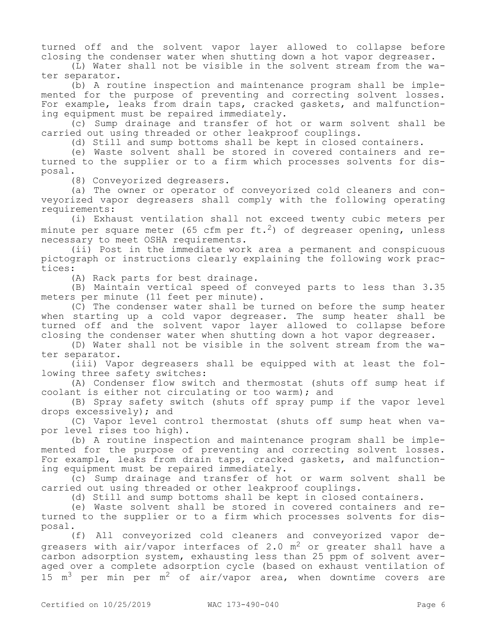turned off and the solvent vapor layer allowed to collapse before closing the condenser water when shutting down a hot vapor degreaser.

(L) Water shall not be visible in the solvent stream from the water separator.

(b) A routine inspection and maintenance program shall be implemented for the purpose of preventing and correcting solvent losses. For example, leaks from drain taps, cracked gaskets, and malfunctioning equipment must be repaired immediately.

(c) Sump drainage and transfer of hot or warm solvent shall be carried out using threaded or other leakproof couplings.

(d) Still and sump bottoms shall be kept in closed containers.

(e) Waste solvent shall be stored in covered containers and returned to the supplier or to a firm which processes solvents for disposal.

(8) Conveyorized degreasers.

(a) The owner or operator of conveyorized cold cleaners and conveyorized vapor degreasers shall comply with the following operating requirements:

(i) Exhaust ventilation shall not exceed twenty cubic meters per minute per square meter (65 cfm per ft.<sup>2</sup>) of degreaser opening, unless necessary to meet OSHA requirements.

(ii) Post in the immediate work area a permanent and conspicuous pictograph or instructions clearly explaining the following work practices:

(A) Rack parts for best drainage.

(B) Maintain vertical speed of conveyed parts to less than 3.35 meters per minute (11 feet per minute).

(C) The condenser water shall be turned on before the sump heater when starting up a cold vapor degreaser. The sump heater shall be turned off and the solvent vapor layer allowed to collapse before closing the condenser water when shutting down a hot vapor degreaser.

(D) Water shall not be visible in the solvent stream from the water separator.

(iii) Vapor degreasers shall be equipped with at least the following three safety switches:

(A) Condenser flow switch and thermostat (shuts off sump heat if coolant is either not circulating or too warm); and

(B) Spray safety switch (shuts off spray pump if the vapor level drops excessively); and

(C) Vapor level control thermostat (shuts off sump heat when vapor level rises too high).

(b) A routine inspection and maintenance program shall be implemented for the purpose of preventing and correcting solvent losses. For example, leaks from drain taps, cracked gaskets, and malfunctioning equipment must be repaired immediately.

(c) Sump drainage and transfer of hot or warm solvent shall be carried out using threaded or other leakproof couplings.

(d) Still and sump bottoms shall be kept in closed containers.

(e) Waste solvent shall be stored in covered containers and returned to the supplier or to a firm which processes solvents for disposal.

(f) All conveyorized cold cleaners and conveyorized vapor degreasers with air/vapor interfaces of 2.0  $m^2$  or greater shall have a carbon adsorption system, exhausting less than 25 ppm of solvent averaged over a complete adsorption cycle (based on exhaust ventilation of 15  $m<sup>3</sup>$  per min per  $m<sup>2</sup>$  of air/vapor area, when downtime covers are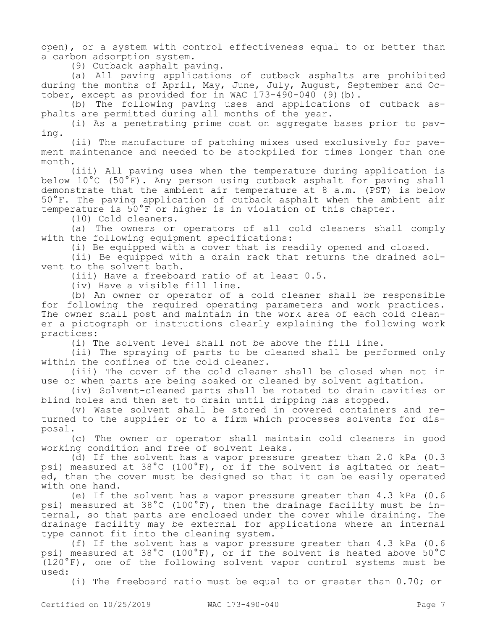open), or a system with control effectiveness equal to or better than a carbon adsorption system.

(9) Cutback asphalt paving.

(a) All paving applications of cutback asphalts are prohibited during the months of April, May, June, July, August, September and October, except as provided for in WAC  $173-490-040$  (9)(b).

(b) The following paving uses and applications of cutback asphalts are permitted during all months of the year.

(i) As a penetrating prime coat on aggregate bases prior to paving.

(ii) The manufacture of patching mixes used exclusively for pavement maintenance and needed to be stockpiled for times longer than one month.

(iii) All paving uses when the temperature during application is below 10°C (50°F). Any person using cutback asphalt for paving shall demonstrate that the ambient air temperature at 8 a.m. (PST) is below 50°F. The paving application of cutback asphalt when the ambient air temperature is 50°F or higher is in violation of this chapter.

(10) Cold cleaners.

(a) The owners or operators of all cold cleaners shall comply with the following equipment specifications:

(i) Be equipped with a cover that is readily opened and closed.

(ii) Be equipped with a drain rack that returns the drained solvent to the solvent bath.

(iii) Have a freeboard ratio of at least 0.5.

(iv) Have a visible fill line.

(b) An owner or operator of a cold cleaner shall be responsible for following the required operating parameters and work practices. The owner shall post and maintain in the work area of each cold cleaner a pictograph or instructions clearly explaining the following work practices:

(i) The solvent level shall not be above the fill line.

(ii) The spraying of parts to be cleaned shall be performed only within the confines of the cold cleaner.

(iii) The cover of the cold cleaner shall be closed when not in use or when parts are being soaked or cleaned by solvent agitation.

(iv) Solvent-cleaned parts shall be rotated to drain cavities or blind holes and then set to drain until dripping has stopped.

(v) Waste solvent shall be stored in covered containers and returned to the supplier or to a firm which processes solvents for disposal.

(c) The owner or operator shall maintain cold cleaners in good working condition and free of solvent leaks.

(d) If the solvent has a vapor pressure greater than 2.0 kPa (0.3 psi) measured at 38°C (100°F), or if the solvent is agitated or heated, then the cover must be designed so that it can be easily operated with one hand.

(e) If the solvent has a vapor pressure greater than 4.3 kPa (0.6 psi) measured at 38°C (100°F), then the drainage facility must be internal, so that parts are enclosed under the cover while draining. The drainage facility may be external for applications where an internal type cannot fit into the cleaning system.

(f) If the solvent has a vapor pressure greater than 4.3 kPa (0.6 psi) measured at 38°C (100°F), or if the solvent is heated above 50°C (120°F), one of the following solvent vapor control systems must be used:

(i) The freeboard ratio must be equal to or greater than 0.70; or